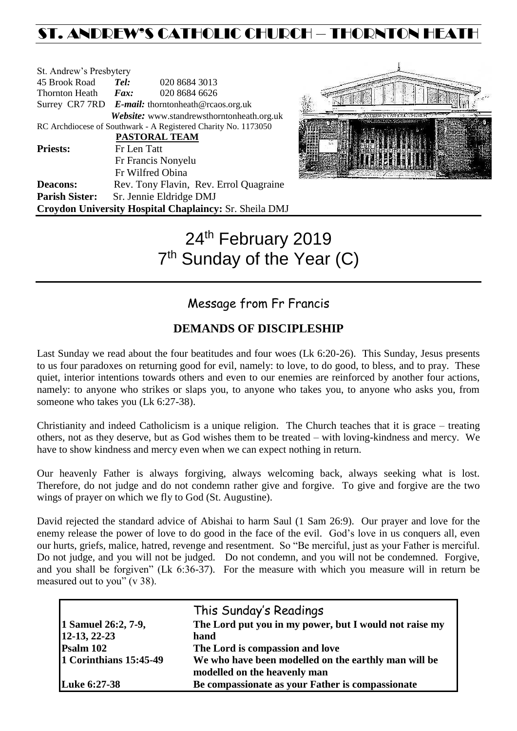# ST. ANDREW'S CATHOLIC CHURCH – THORNTON HEATH

| St. Andrew's Presbytery |             |                                                                |
|-------------------------|-------------|----------------------------------------------------------------|
| 45 Brook Road           | Tel:        | 020 8684 3013                                                  |
| Thornton Heath          | Fax:        | 020 8684 6626                                                  |
|                         |             | Surrey CR7 7RD E-mail: thorntonheath@rcaos.org.uk              |
|                         |             | Website: www.standrewsthorntonheath.org.uk                     |
|                         |             | RC Archdiocese of Southwark - A Registered Charity No. 1173050 |
|                         |             | <b>PASTORAL TEAM</b>                                           |
| <b>Priests:</b>         | Fr Len Tatt |                                                                |
|                         |             | Fr Francis Nonyelu                                             |
|                         |             | Fr Wilfred Obina                                               |
| <b>Deacons:</b>         |             | Rev. Tony Flavin, Rev. Errol Quagraine                         |
| <b>Parish Sister:</b>   |             | Sr. Jennie Eldridge DMJ                                        |
|                         |             | Croydon University Hospital Chaplaincy: Sr. Sheila DMJ         |



# 24<sup>th</sup> February 2019 7<sup>th</sup> Sunday of the Year (C)

# Message from Fr Francis

### **DEMANDS OF DISCIPLESHIP**

Last Sunday we read about the four beatitudes and four woes (Lk 6:20-26). This Sunday, Jesus presents to us four paradoxes on returning good for evil, namely: to love, to do good, to bless, and to pray. These quiet, interior intentions towards others and even to our enemies are reinforced by another four actions, namely: to anyone who strikes or slaps you, to anyone who takes you, to anyone who asks you, from someone who takes you (Lk 6:27-38).

Christianity and indeed Catholicism is a unique religion. The Church teaches that it is grace – treating others, not as they deserve, but as God wishes them to be treated – with loving-kindness and mercy. We have to show kindness and mercy even when we can expect nothing in return.

Our heavenly Father is always forgiving, always welcoming back, always seeking what is lost. Therefore, do not judge and do not condemn rather give and forgive. To give and forgive are the two wings of prayer on which we fly to God (St. Augustine).

David rejected the standard advice of Abishai to harm Saul (1 Sam 26:9). Our prayer and love for the enemy release the power of love to do good in the face of the evil. God's love in us conquers all, even our hurts, griefs, malice, hatred, revenge and resentment. So "Be merciful, just as your Father is merciful. Do not judge, and you will not be judged. Do not condemn, and you will not be condemned. Forgive, and you shall be forgiven" (Lk 6:36-37). For the measure with which you measure will in return be measured out to you" (v 38).

|                        | This Sunday's Readings                                 |
|------------------------|--------------------------------------------------------|
| 1 Samuel 26:2, 7-9,    | The Lord put you in my power, but I would not raise my |
| 12-13, 22-23           | hand                                                   |
| Psalm 102              | The Lord is compassion and love                        |
| 1 Corinthians 15:45-49 | We who have been modelled on the earthly man will be   |
|                        | modelled on the heavenly man                           |
| <b>Luke 6:27-38</b>    | Be compassionate as your Father is compassionate       |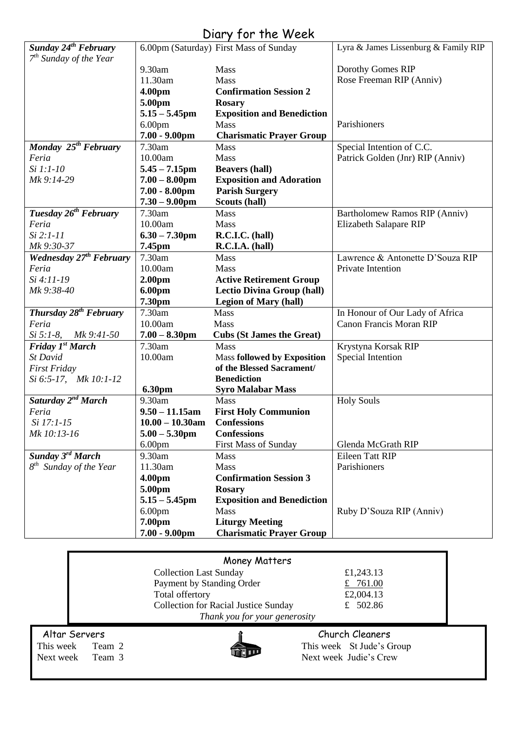# Diary for the Week

| Sunday 24 <sup>th</sup> February    |                        | 6.00pm (Saturday) First Mass of Sunday | Lyra & James Lissenburg & Family RIP |
|-------------------------------------|------------------------|----------------------------------------|--------------------------------------|
| $7th$ Sunday of the Year            |                        |                                        |                                      |
|                                     | 9.30am                 | Mass                                   | Dorothy Gomes RIP                    |
|                                     | 11.30am                | Mass                                   | Rose Freeman RIP (Anniv)             |
|                                     | 4.00pm                 | <b>Confirmation Session 2</b>          |                                      |
|                                     | 5.00pm                 | <b>Rosary</b>                          |                                      |
|                                     | $5.15 - 5.45$ pm       | <b>Exposition and Benediction</b>      |                                      |
|                                     | 6.00 <sub>pm</sub>     | <b>Mass</b>                            | Parishioners                         |
|                                     | $7.00 - 9.00$ pm       | <b>Charismatic Prayer Group</b>        |                                      |
| Monday 25 <sup>th</sup> February    | 7.30am                 | Mass                                   | Special Intention of C.C.            |
| Feria                               | 10.00am                | Mass                                   | Patrick Golden (Jnr) RIP (Anniv)     |
| Si 1:1-10                           | $5.45 - 7.15$ pm       | <b>Beavers (hall)</b>                  |                                      |
| Mk 9:14-29                          | $7.00 - 8.00$ pm       | <b>Exposition and Adoration</b>        |                                      |
|                                     | $7.00 - 8.00$ pm       | <b>Parish Surgery</b>                  |                                      |
|                                     | $7.30 - 9.00$ pm       | Scouts (hall)                          |                                      |
| Tuesday 26 <sup>th</sup> February   | 7.30am                 | Mass                                   | Bartholomew Ramos RIP (Anniv)        |
| Feria                               | 10.00am                | Mass                                   | Elizabeth Salapare RIP               |
| $Si 2:1-11$                         | $6.30 - 7.30$ pm       | R.C.I.C. (hall)                        |                                      |
| Mk 9:30-37                          | 7.45pm                 | R.C.I.A. (hall)                        |                                      |
| Wednesday 27 <sup>th</sup> February | 7.30am                 | Mass                                   | Lawrence & Antonette D'Souza RIP     |
| Feria                               | 10.00am                | Mass                                   | Private Intention                    |
| Si 4:11-19                          | 2.00 <sub>pm</sub>     | <b>Active Retirement Group</b>         |                                      |
| Mk 9:38-40                          | 6.00pm                 | <b>Lectio Divina Group (hall)</b>      |                                      |
|                                     | 7.30pm                 | <b>Legion of Mary (hall)</b>           |                                      |
| Thursday 28 <sup>th</sup> February  | 7.30am                 | Mass                                   | In Honour of Our Lady of Africa      |
| Feria                               | 10.00am                | Mass                                   | <b>Canon Francis Moran RIP</b>       |
| $Si 5:1-8$ , $Mk 9:41-50$           | $7.00 - 8.30$ pm       | <b>Cubs (St James the Great)</b>       |                                      |
| Friday 1st March                    | 7.30am                 | <b>Mass</b>                            | Krystyna Korsak RIP                  |
| St David                            | 10.00am                | <b>Mass followed by Exposition</b>     | Special Intention                    |
| <b>First Friday</b>                 |                        | of the Blessed Sacrament/              |                                      |
| Si 6:5-17, Mk 10:1-12               |                        | <b>Benediction</b>                     |                                      |
|                                     | <b>6.30pm</b>          | <b>Syro Malabar Mass</b>               |                                      |
| Saturday 2 <sup>nd</sup> March      | 9.30am                 | <b>Mass</b>                            | <b>Holy Souls</b>                    |
| Feria                               | $9.50 - 11.15$ am      | <b>First Holy Communion</b>            |                                      |
| Si 17:1-15                          | $10.00 - 10.30$ am     | <b>Confessions</b>                     |                                      |
| Mk 10:13-16                         | $5.00 - 5.30$ pm       | <b>Confessions</b>                     |                                      |
|                                     | 6.00 <sub>pm</sub>     | First Mass of Sunday                   | Glenda McGrath RIP                   |
| Sunday 3 <sup>rd</sup> March        | 9.30am                 | <b>Mass</b>                            | <b>Eileen Tatt RIP</b>               |
| 8 <sup>th</sup> Sunday of the Year  | 11.30am                | <b>Mass</b>                            | Parishioners                         |
|                                     | 4.00 <sub>pm</sub>     | <b>Confirmation Session 3</b>          |                                      |
|                                     | 5.00pm                 | <b>Rosary</b>                          |                                      |
|                                     | $5.15 - 5.45$ pm       | <b>Exposition and Benediction</b>      |                                      |
|                                     | 6.00 <sub>pm</sub>     | <b>Mass</b>                            | Ruby D'Souza RIP (Anniv)             |
|                                     | 7.00pm                 | <b>Liturgy Meeting</b>                 |                                      |
|                                     | $7.00 - 9.00$ pm       | <b>Charismatic Prayer Group</b>        |                                      |
|                                     |                        |                                        |                                      |
|                                     |                        |                                        |                                      |
|                                     | Collection Last Sunday | Money Matters                          | f17/1312                             |

|                           |                                             | Money Matters                 |                           |  |
|---------------------------|---------------------------------------------|-------------------------------|---------------------------|--|
|                           |                                             | <b>Collection Last Sunday</b> | £1,243.13                 |  |
| Payment by Standing Order |                                             | £ $761.00$                    |                           |  |
| Total offertory           |                                             | £2,004.13                     |                           |  |
|                           | <b>Collection for Racial Justice Sunday</b> |                               | £ $502.86$                |  |
|                           |                                             | Thank you for your generosity |                           |  |
| Altar Servers             |                                             |                               | Church Cleaners           |  |
| This week                 | Team 2                                      |                               | This week St Jude's Group |  |
| Next week Team 3          |                                             |                               | Next week Judie's Crew    |  |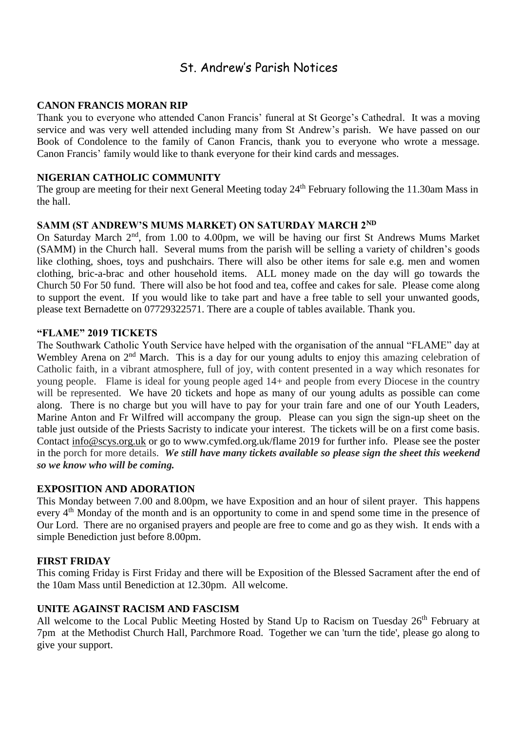### St. Andrew's Parish Notices

#### **CANON FRANCIS MORAN RIP**

Thank you to everyone who attended Canon Francis' funeral at St George's Cathedral. It was a moving service and was very well attended including many from St Andrew's parish. We have passed on our Book of Condolence to the family of Canon Francis, thank you to everyone who wrote a message. Canon Francis' family would like to thank everyone for their kind cards and messages.

#### **NIGERIAN CATHOLIC COMMUNITY**

The group are meeting for their next General Meeting today 24<sup>th</sup> February following the 11.30am Mass in the hall.

#### **SAMM (ST ANDREW'S MUMS MARKET) ON SATURDAY MARCH 2ND**

On Saturday March  $2<sup>nd</sup>$ , from 1.00 to 4.00pm, we will be having our first St Andrews Mums Market (SAMM) in the Church hall. Several mums from the parish will be selling a variety of children's goods like clothing, shoes, toys and pushchairs. There will also be other items for sale e.g. men and women clothing, bric-a-brac and other household items. ALL money made on the day will go towards the Church 50 For 50 fund. There will also be hot food and tea, coffee and cakes for sale. Please come along to support the event. If you would like to take part and have a free table to sell your unwanted goods, please text Bernadette on 07729322571. There are a couple of tables available. Thank you.

#### **"FLAME" 2019 TICKETS**

The Southwark Catholic Youth Service have helped with the organisation of the annual "FLAME" day at Wembley Arena on 2<sup>nd</sup> March. This is a day for our young adults to enjoy this amazing celebration of Catholic faith, in a vibrant atmosphere, full of joy, with content presented in a way which resonates for young people. Flame is ideal for young people aged 14+ and people from every Diocese in the country will be represented. We have 20 tickets and hope as many of our young adults as possible can come along. There is no charge but you will have to pay for your train fare and one of our Youth Leaders, Marine Anton and Fr Wilfred will accompany the group. Please can you sign the sign-up sheet on the table just outside of the Priests Sacristy to indicate your interest. The tickets will be on a first come basis. Contact [info@scys.org.uk](mailto:info@scys.org.uk?subject=FLAME%202019) or go to [www.cymfed.org.uk/flame 2019](https://rcsouthwark.us11.list-manage.com/track/click?u=a40ab1a35eac7236d856fe882&id=3967eeb619&e=8fd233ba89) for further info. Please see the poster in the porch for more details. *We still have many tickets available so please sign the sheet this weekend so we know who will be coming.*

#### **EXPOSITION AND ADORATION**

This Monday between 7.00 and 8.00pm, we have Exposition and an hour of silent prayer. This happens every 4<sup>th</sup> Monday of the month and is an opportunity to come in and spend some time in the presence of Our Lord. There are no organised prayers and people are free to come and go as they wish. It ends with a simple Benediction just before 8.00pm.

#### **FIRST FRIDAY**

This coming Friday is First Friday and there will be Exposition of the Blessed Sacrament after the end of the 10am Mass until Benediction at 12.30pm. All welcome.

#### **UNITE AGAINST RACISM AND FASCISM**

All welcome to the Local Public Meeting Hosted by Stand Up to Racism on Tuesday 26<sup>th</sup> February at 7pm at the Methodist Church Hall, Parchmore Road. Together we can 'turn the tide', please go along to give your support.